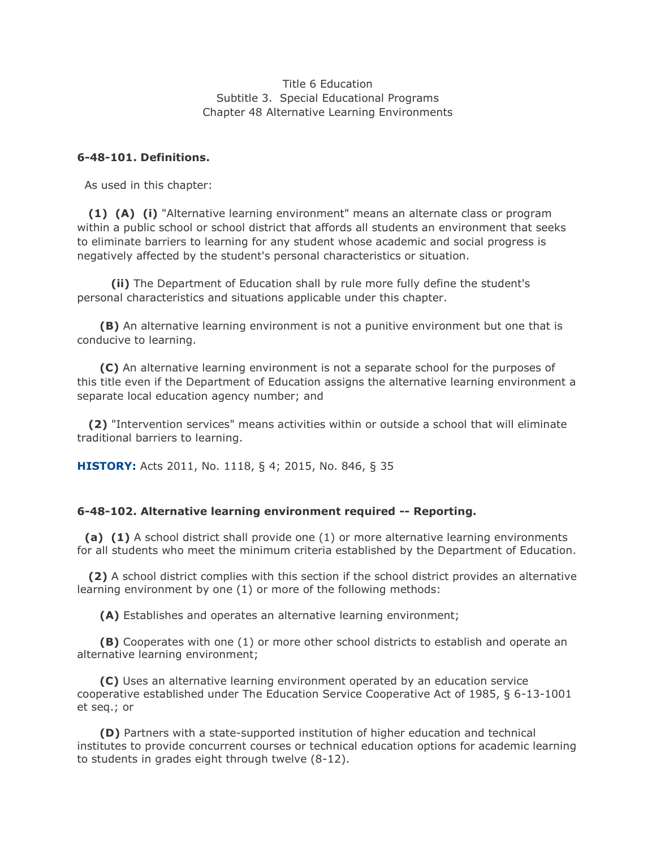Title 6 Education Subtitle 3. Special Educational Programs Chapter 48 Alternative Learning Environments

## **6-48-101. Definitions.**

As used in this chapter:

 **(1) (A) (i)** "Alternative learning environment" means an alternate class or program within a public school or school district that affords all students an environment that seeks to eliminate barriers to learning for any student whose academic and social progress is negatively affected by the student's personal characteristics or situation.

 **(ii)** The Department of Education shall by rule more fully define the student's personal characteristics and situations applicable under this chapter.

 **(B)** An alternative learning environment is not a punitive environment but one that is conducive to learning.

 **(C)** An alternative learning environment is not a separate school for the purposes of this title even if the Department of Education assigns the alternative learning environment a separate local education agency number; and

 **(2)** "Intervention services" means activities within or outside a school that will eliminate traditional barriers to learning.

**HISTORY:** Acts 2011, No. 1118, § 4; 2015, No. 846, § 35

## **6-48-102. Alternative learning environment required -- Reporting.**

 **(a) (1)** A school district shall provide one (1) or more alternative learning environments for all students who meet the minimum criteria established by the Department of Education.

 **(2)** A school district complies with this section if the school district provides an alternative learning environment by one (1) or more of the following methods:

**(A)** Establishes and operates an alternative learning environment;

 **(B)** Cooperates with one (1) or more other school districts to establish and operate an alternative learning environment;

 **(C)** Uses an alternative learning environment operated by an education service cooperative established under The Education Service Cooperative Act of 1985, § 6-13-1001 et seq.; or

 **(D)** Partners with a state-supported institution of higher education and technical institutes to provide concurrent courses or technical education options for academic learning to students in grades eight through twelve (8-12).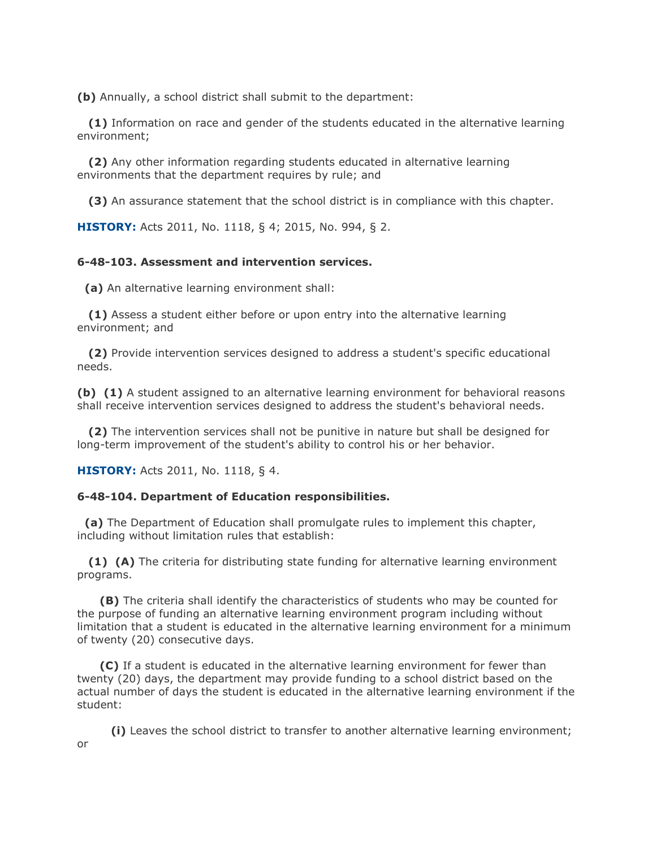**(b)** Annually, a school district shall submit to the department:

 **(1)** Information on race and gender of the students educated in the alternative learning environment;

 **(2)** Any other information regarding students educated in alternative learning environments that the department requires by rule; and

**(3)** An assurance statement that the school district is in compliance with this chapter.

**HISTORY:** Acts 2011, No. 1118, § 4; 2015, No. 994, § 2.

## **6-48-103. Assessment and intervention services.**

**(a)** An alternative learning environment shall:

 **(1)** Assess a student either before or upon entry into the alternative learning environment; and

 **(2)** Provide intervention services designed to address a student's specific educational needs.

**(b) (1)** A student assigned to an alternative learning environment for behavioral reasons shall receive intervention services designed to address the student's behavioral needs.

 **(2)** The intervention services shall not be punitive in nature but shall be designed for long-term improvement of the student's ability to control his or her behavior.

**HISTORY:** Acts 2011, No. 1118, § 4.

or

## **6-48-104. Department of Education responsibilities.**

 **(a)** The Department of Education shall promulgate rules to implement this chapter, including without limitation rules that establish:

 **(1) (A)** The criteria for distributing state funding for alternative learning environment programs.

 **(B)** The criteria shall identify the characteristics of students who may be counted for the purpose of funding an alternative learning environment program including without limitation that a student is educated in the alternative learning environment for a minimum of twenty (20) consecutive days.

 **(C)** If a student is educated in the alternative learning environment for fewer than twenty (20) days, the department may provide funding to a school district based on the actual number of days the student is educated in the alternative learning environment if the student:

**(i)** Leaves the school district to transfer to another alternative learning environment;